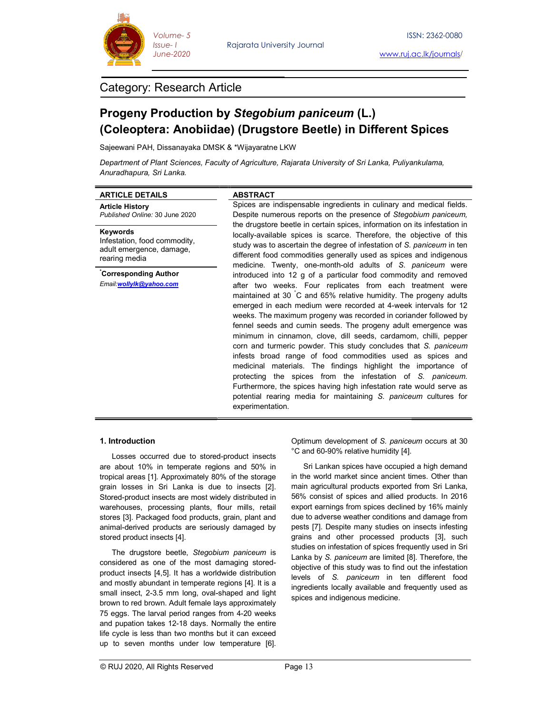

Rajarata University Journal

## Category: Research Article

# Progeny Production by Stegobium paniceum (L.) (Coleoptera: Anobiidae) (Drugstore Beetle) in Different Spices in

Sajeewani PAH, Dissanayaka DMSK & \*Wijayaratne LKW

Department of Plant Sciences, Faculty of Agriculture, Rajarata University of Sri Lanka, Puliyankulama, Anuradhapura, Sri Lanka.

| <b>ARTICLE DETAILS</b>                                                                                                                                                                                                                                                                                                                                                                                                                                                                                                                                                                                                                                                                                      | <b>ABSTRACT</b>                                                                                                                                                                                                                                                                                                                                                 |                                                                                                                                                                                                                                                                                                                                                                                                                                                                                                                                                                                                                                                                                                                                                                                                                                                                                          |  |
|-------------------------------------------------------------------------------------------------------------------------------------------------------------------------------------------------------------------------------------------------------------------------------------------------------------------------------------------------------------------------------------------------------------------------------------------------------------------------------------------------------------------------------------------------------------------------------------------------------------------------------------------------------------------------------------------------------------|-----------------------------------------------------------------------------------------------------------------------------------------------------------------------------------------------------------------------------------------------------------------------------------------------------------------------------------------------------------------|------------------------------------------------------------------------------------------------------------------------------------------------------------------------------------------------------------------------------------------------------------------------------------------------------------------------------------------------------------------------------------------------------------------------------------------------------------------------------------------------------------------------------------------------------------------------------------------------------------------------------------------------------------------------------------------------------------------------------------------------------------------------------------------------------------------------------------------------------------------------------------------|--|
| <b>Article History</b><br>Published Online: 30 June 2020                                                                                                                                                                                                                                                                                                                                                                                                                                                                                                                                                                                                                                                    |                                                                                                                                                                                                                                                                                                                                                                 | Spices are indispensable ingredients in culinary and medical fields.<br>Despite numerous reports on the presence of Stegobium paniceum,                                                                                                                                                                                                                                                                                                                                                                                                                                                                                                                                                                                                                                                                                                                                                  |  |
| Keywords<br>Infestation, food commodity,<br>adult emergence, damage,<br>rearing media                                                                                                                                                                                                                                                                                                                                                                                                                                                                                                                                                                                                                       | the drugstore beetle in certain spices, information on its infestation in<br>locally-available spices is scarce. Therefore, the objective of this<br>study was to ascertain the degree of infestation of S. paniceum in ten<br>different food commodities generally used as spices and indigenous<br>medicine. Twenty, one-month-old adults of S. paniceum were |                                                                                                                                                                                                                                                                                                                                                                                                                                                                                                                                                                                                                                                                                                                                                                                                                                                                                          |  |
| Corresponding Author<br>Email:wollylk@yahoo.com                                                                                                                                                                                                                                                                                                                                                                                                                                                                                                                                                                                                                                                             | experimentation.                                                                                                                                                                                                                                                                                                                                                | introduced into 12 g of a particular food commodity and removed<br>after two weeks. Four replicates from each treatment were<br>maintained at 30 °C and 65% relative humidity. The progeny adults<br>emerged in each medium were recorded at 4-week intervals for 12<br>weeks. The maximum progeny was recorded in coriander followed by<br>fennel seeds and cumin seeds. The progeny adult emergence was<br>minimum in cinnamon, clove, dill seeds, cardamom, chilli, pepper<br>corn and turmeric powder. This study concludes that S. paniceum<br>infests broad range of food commodities used as spices and<br>medicinal materials. The findings highlight the importance of<br>protecting the spices from the infestation of S. paniceum.<br>Furthermore, the spices having high infestation rate would serve as<br>potential rearing media for maintaining S. paniceum cultures for |  |
| 1. Introduction<br>Losses occurred due to stored-product insects<br>are about 10% in temperate regions and 50% in<br>tropical areas [1]. Approximately 80% of the storage<br>grain losses in Sri Lanka is due to insects [2].<br>Stored-product insects are most widely distributed in<br>warehouses, processing plants, flour mills, retail<br>stores [3]. Packaged food products, grain, plant and<br>animal-derived products are seriously damaged by<br>stored product insects [4].<br>The drugstore beetle, Stegobium paniceum is<br>considered as one of the most damaging stored-<br>product insects [4,5]. It has a worldwide distribution<br>and mostly abundant in temperate regions [4]. It is a |                                                                                                                                                                                                                                                                                                                                                                 | Optimum development of S. paniceum occurs at 30<br>°C and 60-90% relative humidity [4].<br>Sri Lankan spices have occupied a high demand<br>in the world market since ancient times. Other than<br>main agricultural products exported from Sri Lanka,<br>56% consist of spices and allied products. In 2016<br>export earnings from spices declined by 16% mainly<br>due to adverse weather conditions and damage from<br>pests [7]. Despite many studies on insects infesting<br>grains and other processed products [3], such<br>studies on infestation of spices frequently used in Sri<br>Lanka by S. paniceum are limited [8]. Therefore, the<br>objective of this study was to find out the infestation<br>levels of S. paniceum in ten different food<br>ingredients locally available and frequently used as                                                                    |  |

## 1. Introduction

The drugstore beetle, Stegobium paniceum is a statistic entimediate considered as one of the most damaging stored-<br> $\frac{1}{2}$ product insects [4,5]. It has a worldwide distribution and mostly abundant in temperate regions [4]. It is a small insect, 2-3.5 mm long, oval- a regions [4]. It is a -shaped and light brown to red brown. Adult female lays approximately serious and marger of 75 eggs. The larval period ranges from 4-20 weeks and pupation takes 12-18 days. Normally the entire life cycle is less than two months but it can exceed up to seven months under low temperature [6]. pupation takes 12-18 days. Normally the entire<br>cycle is less than two months but it can exceed<br>to seven months under low temperature [6].

Sri Lankan spices have occupied a high demand in the world market since ancient times. Other than main agricultural products exported from Sri Lanka, 56% consist of spices and allied products. In 2016 export earnings from spices declined by 16% mainly due to adverse weather conditions and damage from pests [7]. Despite many studies on insects infesting grains and other processed products [3], such studies on infestation of spices frequently used in Sri Lanka by *S. paniceum* are limited [8]. Therefore, the objective of this study was to find out the infestation levels of S. paniceum in ten different food ingredients locally available and frequently used as spices and indigenous medicine. in the world market since ancient times. Other than<br>main agricultural products exported from Sri Lanka,<br>56% consist of spices and allied products. In 2016<br>export earnings from spices declined by 16% mainly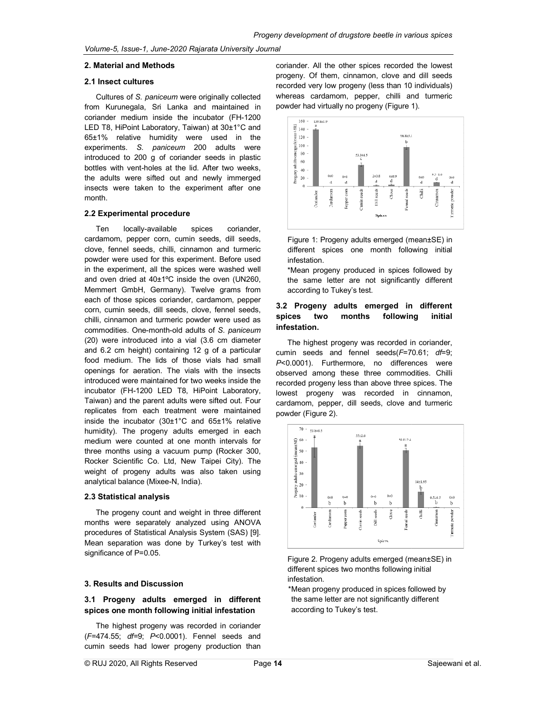#### 2. Material and Methods

#### 2.1 Insect cultures

Cultures of S. paniceum were originally collected from Kurunegala, Sri Lanka and maintained in coriander medium inside the incubator (FH la, inside (FH-1200 LED T8, HiPoint Laboratory, Taiwan) at  $30\pm1^{\circ}$ C and 65±1% relative humidity were used in the  $\frac{1}{2}$   $\frac{1}{2}$   $\frac{1}{2}$   $\frac{1}{2}$   $\frac{1}{2}$   $\frac{1}{2}$   $\frac{1}{2}$   $\frac{1}{2}$   $\frac{1}{2}$   $\frac{1}{2}$   $\frac{1}{2}$   $\frac{1}{2}$   $\frac{1}{2}$   $\frac{1}{2}$   $\frac{1}{2}$   $\frac{1}{2}$   $\frac{1}{2}$   $\frac{1}{2}$  experiments. S. paniceum 200 adults were<br>introduced to 200 g of coriander seeds in plastic<br>bottles with vent-holes at the lid. After two weeks,<br>the adults were sifted out and newly immerged introduced to 200 g of coriander seeds in plastic bottles with vent-holes at the lid. After two weeks, the adults were sifted out and newly immerged insects were taken to the experiment after one month. introduced to 200 g of coriander seeds in plastic<br>
bottles with vent-holes at the lid. After two weeks,<br>
the adults were sifted out and newly immerged<br>
insects were taken to the experiment after one<br>
month.<br>
2.2 Experiment

### 2.2 Experimental procedure

Ten locally-available spices coriander, cardamom, pepper corn, cumin seeds, dill seeds, clove, fennel seeds, chilli, cinnamon and turmeric powder were used for this experiment. Before used in the experiment, all the spices were washed well and oven dried at 40±1ºC inside the oven (UN260, Memmert GmbH, Germany). Twelve grams from each of those spices coriander, cardamom, pepper corn, cumin seeds, dill seeds, clove, fennel seeds, and rivelity addits on chilli cinnomen and turnorio neuroles used as **spices** two months chilli, cinnamon and turmeric powder were used as commodities. One-month-old adults of S. paniceum (20) were introduced into a vial (3.6 cm diameter and 6.2 cm height) containing 12 g of a particular food medium. The lids of those vials had small openings for aeration. The vials with the insects introduced were maintained for two weeks inside the incubator (FH-1200 LED T8, HiPoint Laboratory, Taiwan) and the parent adults were sifted out. Four replicates from each treatment were maintained inside the incubator (30±1°C and 65±1% relative  $\overline{a}$ humidity). The progeny adults emerged in each medium were counted at one month intervals for  $\frac{1}{\Re}$ <sup>60</sup> three months using a vacuum pump (Rocker 300, Rocker Scientific Co. Ltd, New Taipei City). The  $\frac{3}{24}$ 40 weight of progeny adults was also taken using  $\frac{1}{3}$  and the behave (Mixes N India) analytical balance (Mixee-N, India). and oven dried at 40±1°C inside the oven (UN260,<br>
Memmert GmbH, Germany). Twelve grams from according to Tukey's test.<br>
each of those spices coriander, cardamom, pepper<br>
corn, cumin seeds, dill seeds, clove, fennel seeds,<br> were introduced into a vial (3.6 cm diameter The highest projection 6.2 cm height) containing 12 g of a particular mumin seeds and medium. The lids of those vials had small  $P<0.0001$ ). Further inside for a the cerration **2. B. Example, the other is consistent and the other spices recorded to be one of the other spices recorded to the other spices recorded to the other spices recorded to the other spices recorded to the other spices recor** 

#### 2.3 Statistical analysis

The progeny count and weight in three different months were separately analyzed using ANOVA procedures of Statistical Analysis System (SAS) Mean separation was done by Turkey's test with the separation was done by Turkey's test with significance of P=0.05. weight of progeny adults was also taken using<br>
analytical balance (Mixee-N, India).<br>
2.3 Statistical analysis<br>
The progeny count and weight in three different<br>
months were separately analyzed using ANOVA<br>
procedures of Sta

#### 3. Results and Discussion

## 3.1 Progeny adults emerged in different spices one month following initial infestation

The highest progeny was recorded in coriander (F=474.55; df=9; P<0.0001). Fennel seeds and cumin seeds had lower progeny production than

progeny. Of them, cinnamon, clove and dill seeds recorded very low progeny (less than 10 individuals) whereas cardamom, pepper, chilli and turmeric powder had virtually no progeny (Figure 1). coriander. All the other spices recorded the lowest



Figure 1: Progeny adults emerged (mean±SE) in different spices one month following initial infestation.

\*Mean progeny produced in spices followed by the same letter are not significantly different according to Tukey's test.

## 3.2 Progeny adults emerged in different<br>spices two months following initial following initial infestation.

The highest progeny was recorded in coriander, cumin seeds and fennel seeds(F=70.61; df=9; P<0.0001). Furthermore, no differences were observed among these three commodities. Chilli recorded progeny less than above three spices lowest progeny was recorded in cinnamon cardamom, pepper, dill seeds, clove and turmeric powder (Figure 2). , no differences were<br>three commodities. Chilli<br>in above three spices. The



Figure 2. Progeny adults emerged (mean±SE) in different spices two months following initial infestation.

**duIts emerged in different** the same letter are not significantly different<br>**h following initial infestation** according to Tukey's test. \*Mean progeny produced in spices followed by according to Tukey's test.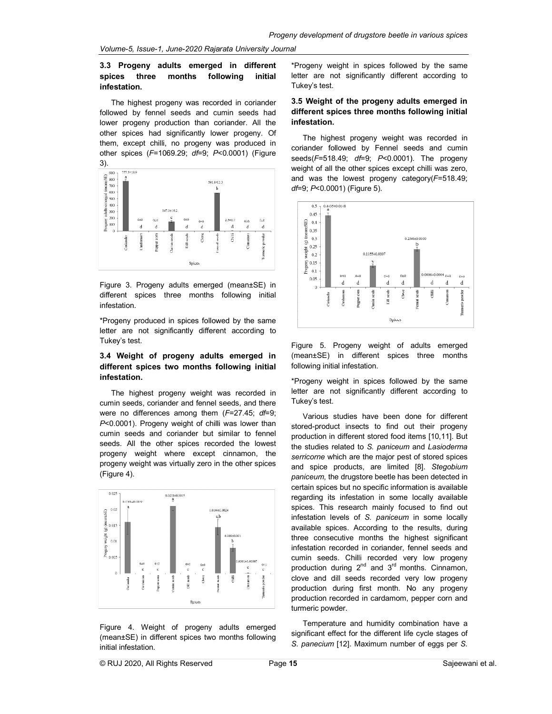## 3.3 Progeny adults emerged in different \*Progeny weight ir<br>spices three months following initial letter are not sigr infestation.

The highest progeny was recorded in coriander followed by fennel seeds and cumin seeds had **different spices t**<br>lower progeny production than coriander. All the **infestation.** lower progeny production than coriander. All the other spices had significantly lower progeny. Of The Light of the state of them, except chilli, no progeny was produced in other spices  $(F=1069.29; dF=9; P<0.0001)$  (Figure 3).



Figure 3. Progeny adults emerged (mean±SE) in  $\frac{1}{2}$  and  $\frac{1}{2}$  and  $\frac{1}{2}$  in  $\frac{1}{2}$  in  $\frac{1}{2}$  is  $\frac{1}{2}$  in  $\frac{1}{2}$  is  $\frac{1}{2}$  in  $\frac{1}{2}$  is  $\frac{1}{2}$  interactation different spices three months following initial infestation. different spices<br>infestation.<br>\*Progeny produce<br>letter are not s

\*Progeny produced in spices followed by the same letter are not significantly different according to Tukey's test.

## 3.4 Weight of progeny adults emerged in 3.4 Weight of progeny adults emerged in (mean±SE) in di<br>different spices two months following initial following initial infes infestation.

The highest progeny weight was recorded in cumin seeds, coriander and fennel seeds, and there statusties test. were no differences among them  $(F=27.45; df=9;$ P<0.0001). Progeny weight of chilli was lower than cumin seeds and coriander but similar to seeds. All the other spices recorded the lowest seeds. All the other spices recorded the lowest<br>progeny weight where except cinnamon, the serricorne which are progeny weight was virtually zero in the other spices and spice product (Figure 4).



Figure 4. Weight of progeny adults emerged (mean±SE) in different spices two months following initial infestation.

spices three months following initial letter are not significantly different according to Tukey's test.

### coriander 3.5 Weight of the progeny adults emerged in different spices three months following initial infestation.

in the inglised progetly weight was received in the coriander followed by Fennel seeds and cumin The highest progeny weight was recorded in seeds(F=518.49; df=9; P<0.0001). The progeny weight of all the other spices except chilli was zero, weight of all the other spices except chilli was zero,<br>and was the lowest progeny category(*F=*518.49; df=9; P<0.0001) (Figure 5). eight was recorded in<br>nel seeds and cumin<br>0.0001). The progeny



Figure 5. Progeny weight of adults emerged (mean±SE) in different spices three months following initial infestation.

\*Progeny weight in spices followed by the same letter are not significantly different according to Tukey's test.

lower than stored-product insects to find out their progeny<br>to fennel storeduction in different stored food items [10,11] But **energed** in different <sup>pro</sup> paper weight in spices followed by the same spices in the same spices of the same spices of the same spices of the same spices of the same spices of the same spices of the same spices of the s Various studies have been done for different production in different stored food items [10,11]. But the studies related to S. paniceum and Lasioderma serricorne which are the major pest of stored spices *serricorne* which are the major pest of stored spices<br>and spice products, are limited [8]. *Stegobium* paniceum, the drugstore beetle has been detected in certain spices but no specific information is available certain spices but no specific information is available<br>regarding its infestation in some locally available spices. This research mainly focused to find out infestation levels of S. paniceum in some locally available spices. According to the results, during three consecutive months the highest significant infestation recorded in coriander, fennel seeds and cumin seeds. Chilli recorded very low progeny production during 2<sup>nd</sup> and 3<sup>rd</sup> months. Cinnamon, clove and dill seeds recorded very low progeny clove and dill seeds recorded very low progeny<br>production during first month. No any progeny production recorded in cardamom, pepper corn and turmeric powder. Figure 5. Progeny weight of adults emerged<br>
(mean±SE) in different spices three months<br>
following initial infestation.<br>
\*Progeny weight in spices followed by the same<br>
letter are not significantly different according to<br>
T available spices. According to the results, during<br>three consecutive months the highest significant<br>infestation recorded in coriander, fennel seeds and

Temperature and humidity combination have a significant effect for the different life cycle stages of production recorded in cardamom, pepper corn and<br>turmeric powder.<br>Temperature and humidity combination have a<br>significant effect for the different life cycle stages of<br>S. panecium [12]. Maximum number of eggs per S.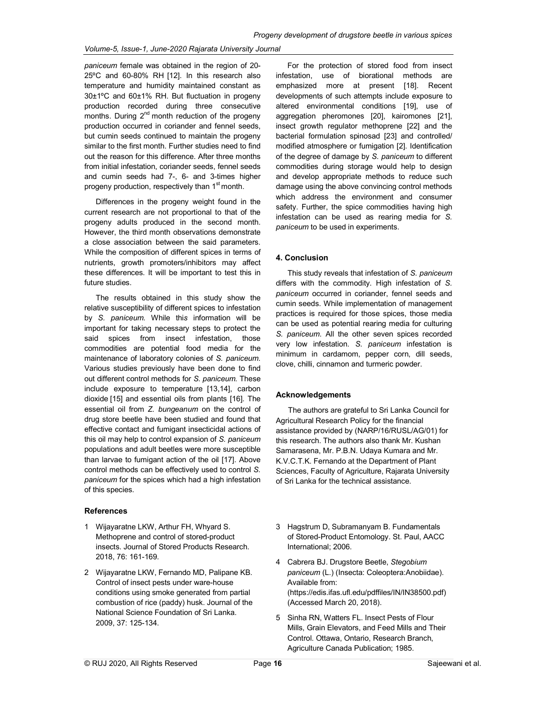paniceum female was obtained in the region of 20- 25ºC and 60-80% RH [12]. In this research also temperature and humidity maintained constant as 30±1ºC and 60±1% RH. But fluctuation in progeny production recorded during three consecutive months. During 2<sup>nd</sup> month reduction of the progeny production occurred in coriander and fennel seeds, but cumin seeds continued to maintain the progeny similar to the first month. Further studies need to find out the reason for this difference. After three months from initial infestation, coriander seeds, fennel seeds and cumin seeds had 7-, 6- and 3-times higher progeny production, respectively than 1<sup>st</sup> month.

Differences in the progeny weight found in the current research are not proportional to that of the progeny adults produced in the second month. However, the third month observations demonstrate a close association between the said parameters. While the composition of different spices in terms of nutrients, growth promoters/inhibitors may affect these differences. It will be important to test this in future studies.

The results obtained in this study show the relative susceptibility of different spices to infestation by S. paniceum. While this information will be important for taking necessary steps to protect the said spices from insect infestation, those commodities are potential food media for the maintenance of laboratory colonies of S. paniceum. Various studies previously have been done to find out different control methods for S. paniceum. These include exposure to temperature [13,14], carbon dioxide [15] and essential oils from plants [16]. The essential oil from Z. bungeanum on the control of drug store beetle have been studied and found that effective contact and fumigant insecticidal actions of this oil may help to control expansion of S. paniceum populations and adult beetles were more susceptible than larvae to fumigant action of the oil [17]. Above control methods can be effectively used to control S. paniceum for the spices which had a high infestation of this species.

#### References

- 1 Wijayaratne LKW, Arthur FH, Whyard S. Methoprene and control of stored-product insects. Journal of Stored Products Research. 2018, 76: 161-169.
- 2 Wijayaratne LKW, Fernando MD, Palipane KB. Control of insect pests under ware-house conditions using smoke generated from partial combustion of rice (paddy) husk. Journal of the National Science Foundation of Sri Lanka. 2009, 37: 125-134.

For the protection of stored food from insect infestation, use of biorational methods are emphasized more at present [18]. Recent developments of such attempts include exposure to altered environmental conditions [19], use of aggregation pheromones [20], kairomones [21], insect growth regulator methoprene [22] and the bacterial formulation spinosad [23] and controlled/ modified atmosphere or fumigation [2]. Identification of the degree of damage by S. paniceum to different commodities during storage would help to design and develop appropriate methods to reduce such damage using the above convincing control methods which address the environment and consumer safety. Further, the spice commodities having high infestation can be used as rearing media for S. paniceum to be used in experiments.

## 4. Conclusion

This study reveals that infestation of S. paniceum differs with the commodity. High infestation of S. paniceum occurred in coriander, fennel seeds and cumin seeds. While implementation of management practices is required for those spices, those media can be used as potential rearing media for culturing S. paniceum. All the other seven spices recorded very low infestation. S. paniceum infestation is minimum in cardamom, pepper corn, dill seeds, clove, chilli, cinnamon and turmeric powder.

#### Acknowledgements

The authors are grateful to Sri Lanka Council for Agricultural Research Policy for the financial assistance provided by (NARP/16/RUSL/AG/01) for this research. The authors also thank Mr. Kushan Samarasena, Mr. P.B.N. Udaya Kumara and Mr. K.V.C.T.K. Fernando at the Department of Plant Sciences, Faculty of Agriculture, Rajarata University of Sri Lanka for the technical assistance.

- 3 Hagstrum D, Subramanyam B. Fundamentals of Stored-Product Entomology. St. Paul, AACC International; 2006.
- 4 Cabrera BJ. Drugstore Beetle, Stegobium paniceum (L.) (Insecta: Coleoptera:Anobiidae). Available from: (https://edis.ifas.ufl.edu/pdffiles/IN/IN38500.pdf) (Accessed March 20, 2018).
- 5 Sinha RN, Watters FL. Insect Pests of Flour Mills, Grain Elevators, and Feed Mills and Their Control. Ottawa, Ontario, Research Branch, Agriculture Canada Publication; 1985.